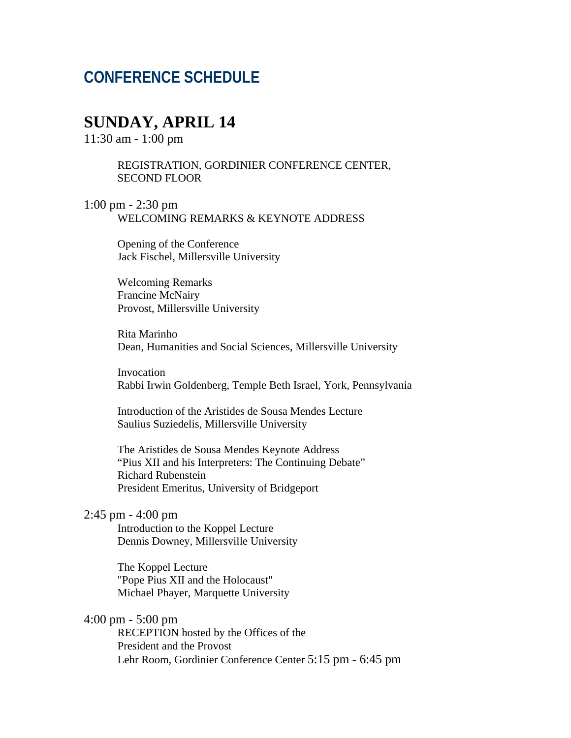# **CONFERENCE SCHEDULE**

### **SUNDAY, APRIL 14**

11:30 am - 1:00 pm

REGISTRATION, GORDINIER CONFERENCE CENTER, SECOND FLOOR

1:00 pm - 2:30 pm WELCOMING REMARKS & KEYNOTE ADDRESS

> Opening of the Conference Jack Fischel, Millersville University

Welcoming Remarks Francine McNairy Provost, Millersville University

Rita Marinho Dean, Humanities and Social Sciences, Millersville University

Invocation Rabbi Irwin Goldenberg, Temple Beth Israel, York, Pennsylvania

Introduction of the Aristides de Sousa Mendes Lecture Saulius Suziedelis, Millersville University

The Aristides de Sousa Mendes Keynote Address "Pius XII and his Interpreters: The Continuing Debate" Richard Rubenstein President Emeritus, University of Bridgeport

### 2:45 pm - 4:00 pm

Introduction to the Koppel Lecture Dennis Downey, Millersville University

The Koppel Lecture "Pope Pius XII and the Holocaust" Michael Phayer, Marquette University

### 4:00 pm - 5:00 pm

RECEPTION hosted by the Offices of the President and the Provost Lehr Room, Gordinier Conference Center 5:15 pm - 6:45 pm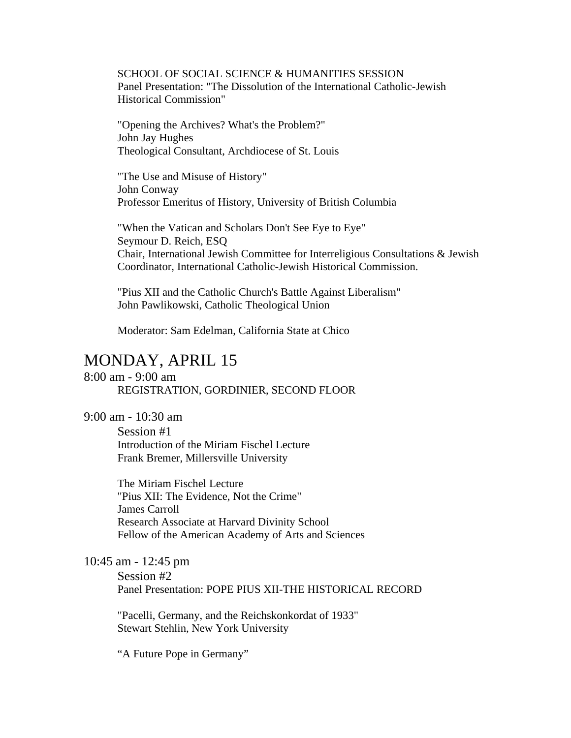SCHOOL OF SOCIAL SCIENCE & HUMANITIES SESSION Panel Presentation: "The Dissolution of the International Catholic-Jewish Historical Commission"

"Opening the Archives? What's the Problem?" John Jay Hughes Theological Consultant, Archdiocese of St. Louis

"The Use and Misuse of History" John Conway Professor Emeritus of History, University of British Columbia

"When the Vatican and Scholars Don't See Eye to Eye" Seymour D. Reich, ESQ Chair, International Jewish Committee for Interreligious Consultations & Jewish Coordinator, International Catholic-Jewish Historical Commission.

"Pius XII and the Catholic Church's Battle Against Liberalism" John Pawlikowski, Catholic Theological Union

Moderator: Sam Edelman, California State at Chico

## MONDAY, APRIL 15

8:00 am - 9:00 am REGISTRATION, GORDINIER, SECOND FLOOR

9:00 am - 10:30 am

Session #1 Introduction of the Miriam Fischel Lecture Frank Bremer, Millersville University

The Miriam Fischel Lecture "Pius XII: The Evidence, Not the Crime" James Carroll Research Associate at Harvard Divinity School Fellow of the American Academy of Arts and Sciences

10:45 am - 12:45 pm

Session #2

Panel Presentation: POPE PIUS XII-THE HISTORICAL RECORD

"Pacelli, Germany, and the Reichskonkordat of 1933" Stewart Stehlin, New York University

"A Future Pope in Germany"